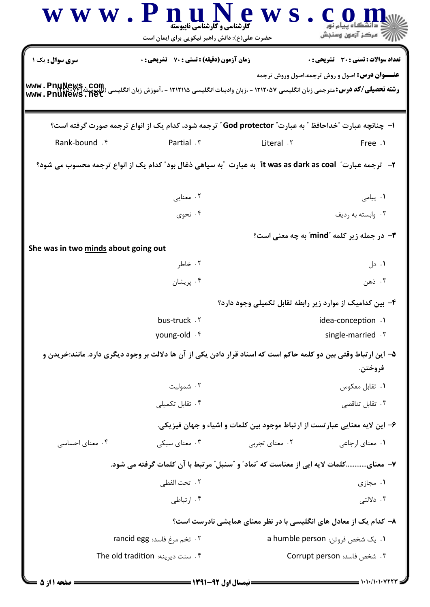|                                      | www.PnuN<br><b>کارشناسی و کارشناسی ناپیوسته</b><br>حضرت علی(ع): دانش راهبر نیکویی برای ایمان است                | <b>e</b> w s                                                                | ے<br>پ <sup>ر</sup> مرکز آزمون وسنجش                  |
|--------------------------------------|-----------------------------------------------------------------------------------------------------------------|-----------------------------------------------------------------------------|-------------------------------------------------------|
| سری سوال: یک ۱                       | <b>زمان آزمون (دقیقه) : تستی : 70 ٪ تشریحی : 0</b>                                                              |                                                                             | تعداد سوالات : تستى : 30 ٪ تشريحي : 0                 |
| www.PnuNews.net                      |                                                                                                                 |                                                                             | <b>عنـــوان درس:</b> اصول و روش ترجمه،اصول وروش ترجمه |
|                                      | ا− چنانچه عبارت ″خداحافظ ″ به عبارت″ God protector ″ ترجمه شود، کدام یک از انواع ترجمه صورت گرفته است؟          |                                                                             |                                                       |
| Rank-bound . f                       | Partial . ٣                                                                                                     | Literal .Y                                                                  | Free .1                                               |
|                                      | ۲-   ترجمه عبارت"   it was as dark as coal  به عبارت   "به سياهي ذغال بود" كدام يک از انواع ترجمه محسوب مي شود؟ |                                                                             |                                                       |
|                                      | ۰۲ معنایی                                                                                                       |                                                                             | <b>۱.</b> پیامی                                       |
|                                      | ۰۴ نحوی                                                                                                         |                                                                             | ۰۳ وابسته به رديف                                     |
|                                      |                                                                                                                 |                                                                             | <b>۳-</b> در جمله زیر کلمه "mind" به چه معنی است؟     |
| She was in two minds about going out | ۰۲ خاطر                                                                                                         |                                                                             | ۰۱ دل                                                 |
|                                      | ۰۴ پريشان                                                                                                       |                                                                             | ۰۳ ذهن                                                |
|                                      |                                                                                                                 | ۴- بین کدامیک از موارد زیر رابطه تقابل تکمیلی وجود دارد؟                    |                                                       |
|                                      | bus-truck . ٢                                                                                                   |                                                                             | idea-conception .1                                    |
|                                      | young-old . f                                                                                                   |                                                                             | single-married . \varried . \varri                    |
|                                      | ۵– این ارتباط وقتی بین دو کلمه حاکم است که اسناد قرار دادن یکی از آن ها دلالت بر وجود دیگری دارد. مانند:خریدن و |                                                                             | فروختن.                                               |
|                                      | ۰۲ شمولیت                                                                                                       |                                                                             | ٠١ تقابل معكوس                                        |
|                                      | ۰۴ تقابل تکمیلی                                                                                                 |                                                                             | ۰۳ تقابل تناقضی                                       |
|                                      |                                                                                                                 | ۶- این لایه معنایی عبارتست از ارتباط موجود بین کلمات و اشیاء و جهان فیزیکی. |                                                       |
| ۰۴ معنای احساسی                      | ۰۳ معنای سبکی                                                                                                   | ۰۲ معنای تجربی                                                              | ۰۱ معنای ارجاعی                                       |
|                                      | ٧– معنايكلمات لايه ايي از معناست كه "نماد" و "سنبل" مرتبط با آن كلمات گرفته مي شود.                             |                                                                             |                                                       |
|                                      | ٢ . تحت الفطي                                                                                                   |                                                                             | ۰۱ مجازی                                              |
|                                      | ۰۴ ارتباطی                                                                                                      |                                                                             | ۰۳ دلالتی                                             |
|                                      |                                                                                                                 | ۸– کدام یک از معادل های انگلیسی با در نظر معنای همایشی نادرست است؟          |                                                       |
|                                      | ۰۲ تخم مرغ فاسد: rancid egg                                                                                     |                                                                             | 1. یک شخص فروتن: a humble person                      |
|                                      | ۰۴ سنت دیرینه: The old tradition                                                                                |                                                                             | ۰۳ شخص فاسد: Corrupt person                           |
|                                      |                                                                                                                 |                                                                             |                                                       |

 $= 1.1 \cdot 11.1 \cdot 11777$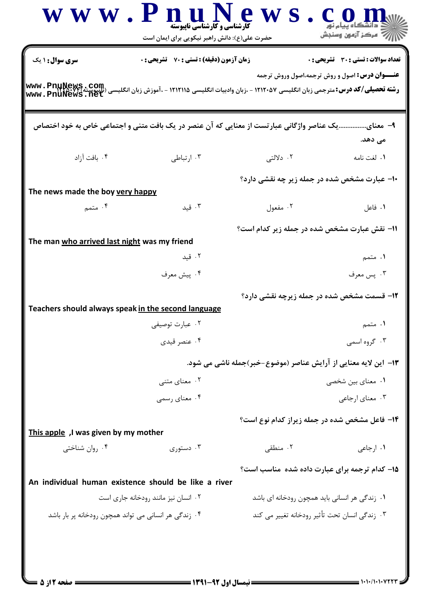| <b>سری سوال : ۱ یک</b>                               | <b>زمان آزمون (دقیقه) : تستی : 70 گشریحی : 0</b>      |                                                                                           | تعداد سوالات : تستى : 30 - تشريحي : 0                 |
|------------------------------------------------------|-------------------------------------------------------|-------------------------------------------------------------------------------------------|-------------------------------------------------------|
|                                                      |                                                       |                                                                                           | <b>عنـــوان درس:</b> اصول و روش ترجمه،اصول وروش ترجمه |
|                                                      |                                                       | یک عناصر واژگانی عبارتست از معنایی که آن عنصر در یک بافت متنی و اجتماعی خاص به خود اختصاص | ۹– معنای<br>مى دهد.                                   |
| ۰۴ بافت آزاد                                         | ۰۳ ارتباطی                                            | ۲. دلالتی                                                                                 | ١. لغت نامه                                           |
| The news made the boy very happy                     |                                                       | ۱۰- عبارت مشخص شده در جمله زیر چه نقشی دارد؟                                              |                                                       |
| ۰۴ متمم $\mathcal{F}$                                | ۰۳ قید                                                | ۰۲ مفعول                                                                                  | ۰۱ فاعل                                               |
| The man who arrived last night was my friend         |                                                       | 11- نقش عبارت مشخص شده در جمله زیر کدام است؟                                              |                                                       |
|                                                      | ۰۲ قید                                                |                                                                                           | ۱. متمم                                               |
|                                                      | ۰۴ پیش معرف                                           |                                                                                           | ۰۳ پس معرف                                            |
|                                                      |                                                       | <b>۱۲- قسمت مشخص شده در جمله زیرچه نقشی دارد؟</b>                                         |                                                       |
| Teachers should always speak in the second language  | ۰۲ عبارت توصیفی                                       |                                                                                           | ۰۱ متمم                                               |
|                                                      | ۰۴ عنصر قیدی                                          |                                                                                           | ۰۳ گروه اسمی                                          |
|                                                      |                                                       | ۱۳– این لایه معنایی از آرایش عناصر (موضوع-خبر)جمله ناشی می شود.                           |                                                       |
|                                                      | ۰۲ معنای متنبی                                        |                                                                                           | ۰۱ معنای بین شخصی                                     |
|                                                      | ۰۴ معنای رسمی                                         |                                                                                           | ۰۳ معنای ارجاعی                                       |
|                                                      |                                                       | <b>۱۴</b> - فاعل مشخص شده در جمله زیراز کدام نوع است؟                                     |                                                       |
| This apple, I was given by my mother                 |                                                       |                                                                                           |                                                       |
| ۰۴ روان شناختی                                       | ۰۳ دستوری                                             | ۰۲ منطقی                                                                                  | ۰۱ ارجاعی                                             |
| An individual human existence should be like a river |                                                       | ۱۵- کدام ترجمه برای عبارت داده شده ًمناسب است؟                                            |                                                       |
|                                                      | ٠٢ انسان نيز مانند رودخانه جارى است                   | ۰۱ زندگی هر انسانی باید همچون رودخانه ای باشد                                             |                                                       |
|                                                      | ۰۴ زندگی هر انسانی می تواند همچون رودخانه پر بار باشد | ۰۳ زندگی انسان تحت تأثیر رودخانه تغییر می کند                                             |                                                       |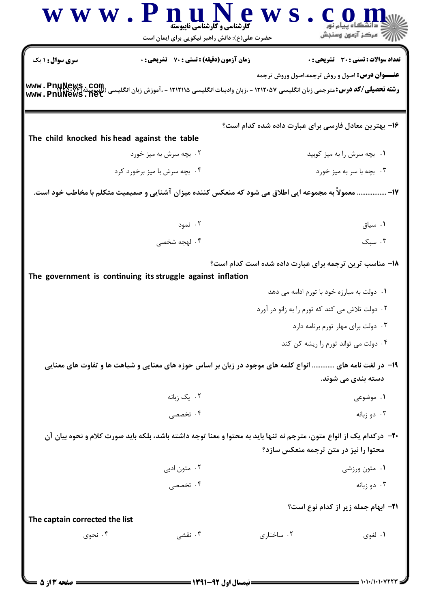| WWW.                                         | n u<br><b>کارشناسی و کارشناسی ناپیوسته</b><br>حضرت علی(ع): دانش راهبر نیکویی برای ایمان است                         | e w                                                    | رآ مرڪز آزمون وسنڊش                                   |
|----------------------------------------------|---------------------------------------------------------------------------------------------------------------------|--------------------------------------------------------|-------------------------------------------------------|
| <b>سری سوال :</b> ۱ یک                       | <b>زمان آزمون (دقیقه) : تستی : 70 ٪ تشریحی : 0</b>                                                                  |                                                        | تعداد سوالات : تستى : 30 - تشريحي : 0                 |
| www.PnuNews.net                              |                                                                                                                     |                                                        | <b>عنـــوان درس:</b> اصول و روش ترجمه،اصول وروش ترجمه |
|                                              |                                                                                                                     | ۱۶– بهترین معادل فارسی برای عبارت داده شده کدام است؟   |                                                       |
| The child knocked his head against the table |                                                                                                                     |                                                        |                                                       |
|                                              | ۰۲ بچه سرش به میز خورد                                                                                              |                                                        | ٠١. بچه سرش را به ميز كوبيد                           |
| ۰۴ بچه سرش با میز برخورد کرد                 |                                                                                                                     |                                                        | ۰۳ بچه با سر به میز خورد                              |
|                                              | ۱۷-  معمولاً به مجموعه ایی اطلاق می شود که منعکس کننده میزان آشنایی و صمیمیت متکلم با مخاطب خود است.                |                                                        |                                                       |
|                                              | ۰۲ نمود                                                                                                             |                                                        | ٠١ سياق                                               |
|                                              | ۰۴ لهجه شخصی                                                                                                        |                                                        | $\mathcal{F}$ . سبک                                   |
|                                              | The government is continuing its struggle against inflation                                                         | ۱۸- مناسب ترین ترجمه برای عبارت داده شده است کدام است؟ |                                                       |
|                                              |                                                                                                                     |                                                        | ۰۱ دولت به مبارزه خود با تورم ادامه می دهد            |
|                                              |                                                                                                                     |                                                        | ۰۲ دولت تلاش می کند که تورم را به زانو در آورد        |
|                                              |                                                                                                                     |                                                        | ۰۳ دولت برای مهار تورم برنامه دارد                    |
|                                              |                                                                                                                     |                                                        | ۰۴ دولت می تواند تورم را ریشه کن کند                  |
|                                              | ۱۹- در لغت نامه های  انواع کلمه های موجود در زبان بر اساس حوزه های معنایی و شباهت ها و تفاوت های معنایی             |                                                        |                                                       |
|                                              |                                                                                                                     |                                                        | دسته بندی می شوند.                                    |
|                                              | ۰۲ يک زبانه                                                                                                         |                                                        | ۰۱ موضوعی                                             |
|                                              | ۰۴ تخصصی                                                                                                            |                                                        | ۰۳ دو زبانه                                           |
|                                              | +۲- دركدام یک از انواع متون، مترجم نه تنها باید به محتوا و معنا توجه داشته باشد، بلکه باید صورت کلام و نحوه بیان آن |                                                        |                                                       |
|                                              |                                                                                                                     |                                                        | محتوا را نیز در متن ترجمه منعکس سازد؟                 |
|                                              | ۰۲ متون ادبی                                                                                                        |                                                        | ۰۱ متون ورزشي                                         |
|                                              | ۰۴ تخصصی                                                                                                            |                                                        | ۰۳ دو زبانه                                           |
|                                              |                                                                                                                     |                                                        | <b>۲۱- ابهام جمله زیر از کدام نوع است</b> ؟           |
| The captain corrected the list               |                                                                                                                     |                                                        |                                                       |
| ۰۴ نحوی                                      | تقشى . $\mathfrak{r}$                                                                                               | ۰۲ ساختاری                                             | ۰۱ لغوی                                               |
|                                              |                                                                                                                     |                                                        |                                                       |
|                                              |                                                                                                                     |                                                        |                                                       |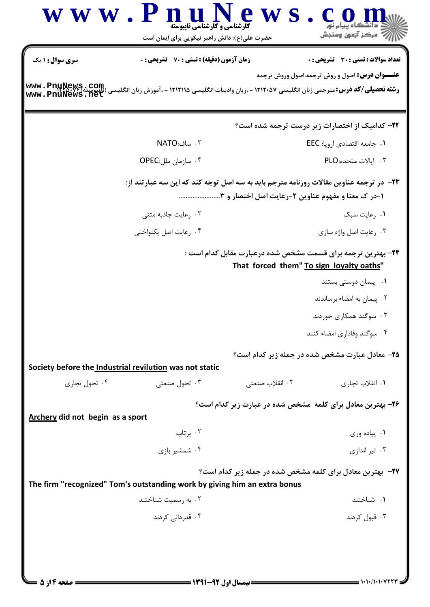|                                  | حضرت علی(ع): دانش راهبر نیکویی برای ایمان است                                          | ج آ مرڪز آزمون وسنڊش                                                                                                             |
|----------------------------------|----------------------------------------------------------------------------------------|----------------------------------------------------------------------------------------------------------------------------------|
| <b>سری سوال :</b> ۱ یک           | <b>زمان آزمون (دقیقه) : تستی : 70 گشریحی : 0</b>                                       | تعداد سوالات : تستى : 30 - تشريحي : 0                                                                                            |
| www.PnuNews.net                  |                                                                                        | <b>عنـــوان درس:</b> اصول و روش ترجمه،اصول وروش ترجمه                                                                            |
|                                  |                                                                                        | <b>۲۲- کدامیک از اختصارات زیر درست ترجمه شده است؟</b>                                                                            |
|                                  | ٢. ساف:NATO                                                                            | ۰۱ جامعه اقتصادي اروپا: EEC                                                                                                      |
|                                  | ۰۴ سازمان ملل:OPEC                                                                     | ۰۳ ایالات متحده:PLO                                                                                                              |
|                                  | ۲۳- در ترجمه عناوین مقالات روزنامه مترجم باید به سه اصل توجه کند که این سه عبارتند از: | ۱-در ک معنا و مفهوم عناوین ۲-رعایت اصل اختصار و ۳                                                                                |
|                                  | ۰۲ رعایت جاذبه متنی                                                                    | ٠١. رعايت سبك                                                                                                                    |
|                                  | ۰۴ رعایت اصل یکنواختی                                                                  | ۰۳ رعایت اصل واژه سازی                                                                                                           |
|                                  |                                                                                        | ۲۴- بهترین ترجمه برای قسمت مشخص شده درعبارت مقابل کدام است :<br>That forced them" To sign loyalty oaths"<br>۰۱ پیمان دوستی بستند |
|                                  |                                                                                        | ۰۲ پیمان به امضاء برساندند                                                                                                       |
|                                  |                                                                                        | ۰۳ سوگند همکاری خوردند                                                                                                           |
|                                  |                                                                                        | ۰۴ سوگند وفاداری امضاء کنند                                                                                                      |
|                                  |                                                                                        | <b>۲۵- معادل عبارت مشخص شده در جمله زیر کدام است؟</b>                                                                            |
|                                  | Society before the Industrial revilution was not static                                |                                                                                                                                  |
| ۰۴ تحول تجاری                    | ۰۳ تحول صنعتی<br>۰۲ انقلاب صنعتی                                                       | ٠١. انقلاب تجاري                                                                                                                 |
| Archery did not begin as a sport |                                                                                        | ۲۶- بهترین معادل برای کلمه مشخص شده در عبارت زیر کدام است؟                                                                       |
|                                  | ۰۲ پرتاب                                                                               | ۰۱ پیاده وری                                                                                                                     |
|                                  | ۰۴ شمشیر بازی                                                                          | ۰۳ تیر اندازی                                                                                                                    |
|                                  | The firm "recognized" Tom's outstanding work by giving him an extra bonus              | <b>۲۷</b> - بهترین معادل برای کلمه مشخص شده در جمله زیر کدام است؟                                                                |
|                                  | ۰۲ به رسمیت شناختند                                                                    | ۰۱ شناختند                                                                                                                       |
|                                  | ۰۴ قدردانی کردند                                                                       | ۰۳ قبول کردند                                                                                                                    |